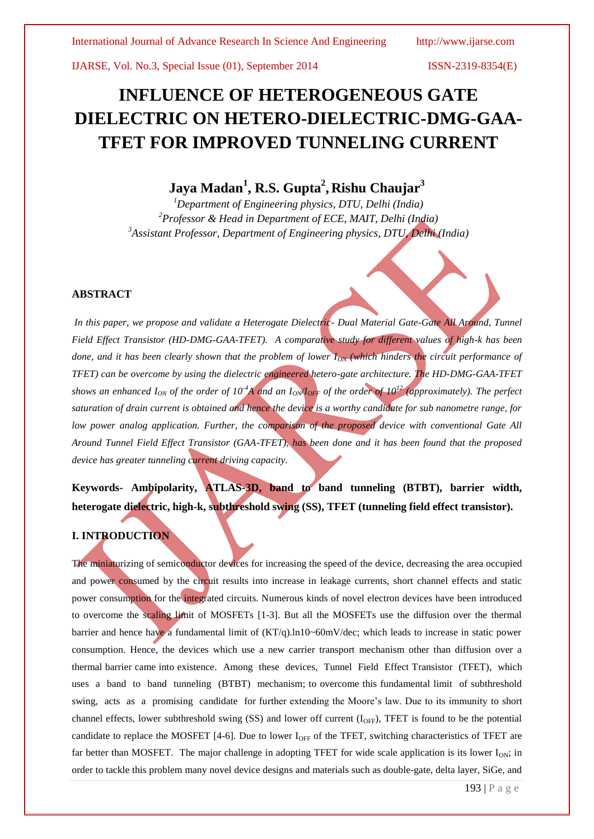# **INFLUENCE OF HETEROGENEOUS GATE DIELECTRIC ON HETERO-DIELECTRIC-DMG-GAA-TFET FOR IMPROVED TUNNELING CURRENT**

# **Jaya Madan<sup>1</sup> , R.S. Gupta<sup>2</sup> , Rishu Chaujar<sup>3</sup>**

*<sup>1</sup>Department of Engineering physics, DTU, Delhi (India) <sup>2</sup>Professor & Head in Department of ECE, MAIT, Delhi (India) <sup>3</sup>Assistant Professor, Department of Engineering physics, DTU, Delhi (India)*

## **ABSTRACT**

*In this paper, we propose and validate a Heterogate Dielectric- Dual Material Gate-Gate All Around, Tunnel Field Effect Transistor (HD-DMG-GAA-TFET). A comparative study for different values of high-k has been done, and it has been clearly shown that the problem of lower I<sub>ON</sub> (which hinders the circuit performance of TFET) can be overcome by using the dielectric engineered hetero-gate architecture. The HD-DMG-GAA-TFET shows an enhanced I<sub>ON</sub> of the order of*  $10^{-4}A$  *and an*  $I_{\text{ON}}/I_{\text{OFF}}$  *of the order of*  $10^{12}$  *(approximately). The perfect saturation of drain current is obtained and hence the device is a worthy candidate for sub nanometre range, for low power analog application. Further, the comparison of the proposed device with conventional Gate All Around Tunnel Field Effect Transistor (GAA-TFET), has been done and it has been found that the proposed device has greater tunneling current driving capacity.* 

# **Keywords- Ambipolarity, ATLAS-3D, band to band tunneling (BTBT), barrier width, heterogate dielectric, high-k, subthreshold swing (SS), TFET (tunneling field effect transistor).**

# **I. INTRODUCTION**

The miniaturizing of semiconductor devices for increasing the speed of the device, decreasing the area occupied and power consumed by the circuit results into increase in leakage currents, short channel effects and static power consumption for the integrated circuits. Numerous kinds of novel electron devices have been introduced to overcome the scaling limit of MOSFETs [1-3]. But all the MOSFETs use the diffusion over the thermal barrier and hence have a fundamental limit of (KT/q).ln10~60mV/dec; which leads to increase in static power consumption. Hence, the devices which use a new carrier transport mechanism other than diffusion over a thermal barrier came into existence. Among these devices, Tunnel Field Effect Transistor (TFET), which uses a band to band tunneling (BTBT) mechanism; to overcome this fundamental limit of subthreshold swing, acts as a promising candidate for further extending the Moore's law. Due to its immunity to short channel effects, lower subthreshold swing (SS) and lower off current  $(I<sub>OFF</sub>)$ , TFET is found to be the potential candidate to replace the MOSFET [4-6]. Due to lower  $I_{\text{OFF}}$  of the TFET, switching characteristics of TFET are far better than MOSFET. The major challenge in adopting TFET for wide scale application is its lower  $I_{ON}$ ; in order to tackle this problem many novel device designs and materials such as double-gate, delta layer, SiGe, and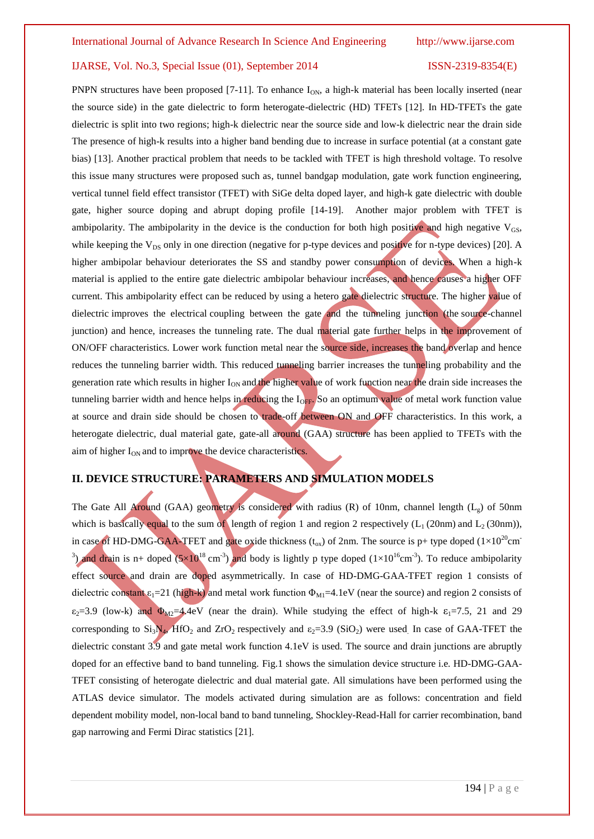PNPN structures have been proposed [7-11]. To enhance  $I_{ON}$ , a high-k material has been locally inserted (near the source side) in the gate dielectric to form heterogate-dielectric (HD) TFETs [12]. In HD-TFETs the gate dielectric is split into two regions; high-k dielectric near the source side and low-k dielectric near the drain side The presence of high-k results into a higher band bending due to increase in surface potential (at a constant gate bias) [13]. Another practical problem that needs to be tackled with TFET is high threshold voltage. To resolve this issue many structures were proposed such as, tunnel bandgap modulation, gate work function engineering, vertical tunnel field effect transistor (TFET) with SiGe delta doped layer, and high-k gate dielectric with double gate, higher source doping and abrupt doping profile [14-19]. Another major problem with TFET is ambipolarity. The ambipolarity in the device is the conduction for both high positive and high negative  $V_{GS}$ , while keeping the  $V_{DS}$  only in one direction (negative for p-type devices and positive for n-type devices) [20]. A higher ambipolar behaviour deteriorates the SS and standby power consumption of devices. When a high-k material is applied to the entire gate dielectric ambipolar behaviour increases, and hence causes a higher OFF current. This ambipolarity effect can be reduced by using a hetero gate dielectric structure. The higher value of dielectric improves the electrical coupling between the gate and the tunneling junction (the source-channel junction) and hence, increases the tunneling rate. The dual material gate further helps in the improvement of ON/OFF characteristics. Lower work function metal near the source side, increases the band overlap and hence reduces the tunneling barrier width. This reduced tunneling barrier increases the tunneling probability and the generation rate which results in higher  $I_{ON}$  and the higher value of work function near the drain side increases the tunneling barrier width and hence helps in reducing the  $I_{\text{OFF}}$ . So an optimum value of metal work function value at source and drain side should be chosen to trade-off between ON and OFF characteristics. In this work, a heterogate dielectric, dual material gate, gate-all around (GAA) structure has been applied to TFETs with the aim of higher  $I_{ON}$  and to improve the device characteristics.

# **II. DEVICE STRUCTURE: PARAMETERS AND SIMULATION MODELS**

The Gate All Around (GAA) geometry is considered with radius (R) of 10nm, channel length ( $L<sub>g</sub>$ ) of 50nm which is basically equal to the sum of length of region 1 and region 2 respectively ( $L_1$  (20nm) and  $L_2$  (30nm)), in case of HD-DMG-GAA-TFET and gate oxide thickness  $(t_{ox})$  of 2nm. The source is p+ type doped  $(1\times10^{20}cm^{-1})$ <sup>3</sup>) and drain is n+ doped (5×10<sup>18</sup> cm<sup>-3</sup>) and body is lightly p type doped (1×10<sup>16</sup>cm<sup>-3</sup>). To reduce ambipolarity effect source and drain are doped asymmetrically. In case of HD-DMG-GAA-TFET region 1 consists of dielectric constant  $\varepsilon_1$ =21 (high-k) and metal work function  $\Phi_{M1}$ =4.1eV (near the source) and region 2 consists of  $\varepsilon_2$ =3.9 (low-k) and  $\Phi_{M2}$ =4.4eV (near the drain). While studying the effect of high-k  $\varepsilon_1$ =7.5, 21 and 29 corresponding to  $Si_3N_4$ , HfO<sub>2</sub> and ZrO<sub>2</sub> respectively and  $\varepsilon_2$ =3.9 (SiO<sub>2</sub>) were used. In case of GAA-TFET the dielectric constant 3.9 and gate metal work function 4.1eV is used. The source and drain junctions are abruptly doped for an effective band to band tunneling. Fig.1 shows the simulation device structure i.e. HD-DMG-GAA-TFET consisting of heterogate dielectric and dual material gate. All simulations have been performed using the ATLAS device simulator. The models activated during simulation are as follows: concentration and field dependent mobility model, non-local band to band tunneling, Shockley-Read-Hall for carrier recombination, band gap narrowing and Fermi Dirac statistics [21].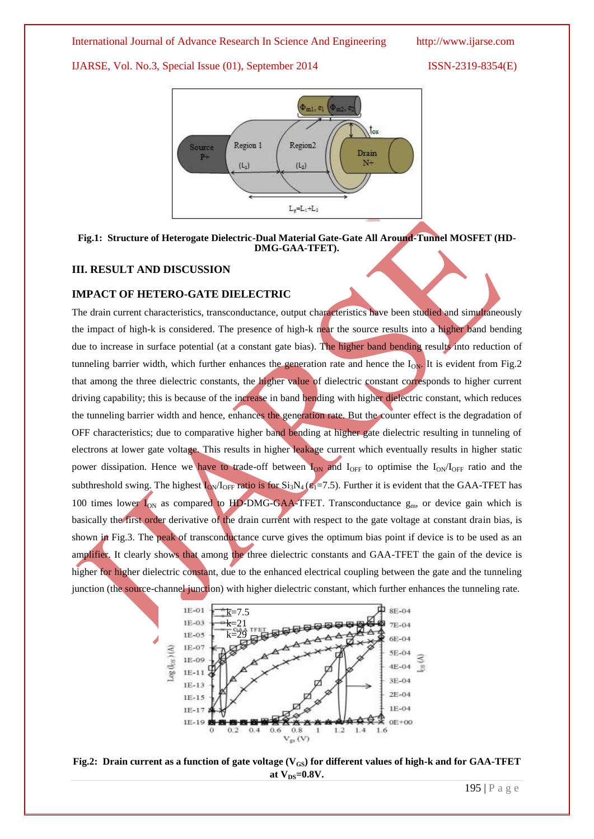### International Journal of Advance Research In Science And Engineering http://www.ijarse.com

IJARSE, Vol. No.3, Special Issue (01), September 2014 ISSN-2319-8354(E)



## **Fig.1: Structure of Heterogate Dielectric-Dual Material Gate-Gate All Around-Tunnel MOSFET (HD-DMG-GAA-TFET).**

# **III. RESULT AND DISCUSSION**

### **IMPACT OF HETERO-GATE DIELECTRIC**

The drain current characteristics, transconductance, output characteristics have been studied and simultaneously the impact of high-k is considered. The presence of high-k near the source results into a higher band bending due to increase in surface potential (at a constant gate bias). The higher band bending results into reduction of tunneling barrier width, which further enhances the generation rate and hence the  $I_{ON}$ . It is evident from Fig.2 that among the three dielectric constants, the higher value of dielectric constant corresponds to higher current driving capability; this is because of the increase in band bending with higher dielectric constant, which reduces the tunneling barrier width and hence, enhances the generation rate. But the counter effect is the degradation of OFF characteristics; due to comparative higher band bending at higher gate dielectric resulting in tunneling of electrons at lower gate voltage. This results in higher leakage current which eventually results in higher static power dissipation. Hence we have to trade-off between  $I_{ON}$  and  $I_{OFF}$  to optimise the  $I_{ON}/I_{OFF}$  ratio and the subthreshold swing. The highest  $I_{\text{ON}}/I_{\text{OFF}}$  ratio is for  $Si_3N_4$  ( $\varepsilon_1$ =7.5). Further it is evident that the GAA-TFET has 100 times lower  $I_{ON}$  as compared to HD-DMG-GAA-TFET. Transconductance  $g_{m}$ , or device gain which is basically the first order derivative of the drain current with respect to the gate voltage at constant drain bias, is shown in Fig.3. The peak of transconductance curve gives the optimum bias point if device is to be used as an amplifier. It clearly shows that among the three dielectric constants and GAA-TFET the gain of the device is higher for higher dielectric constant, due to the enhanced electrical coupling between the gate and the tunneling junction (the source-channel junction) with higher dielectric constant, which further enhances the tunneling rate.



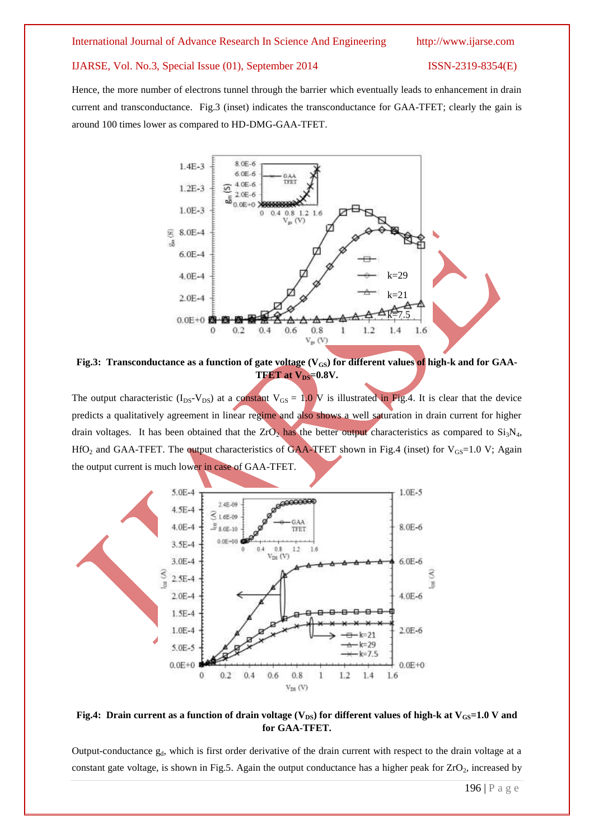#### International Journal of Advance Research In Science And Engineering http://www.ijarse.com

#### IJARSE, Vol. No.3, Special Issue (01), September 2014 ISSN-2319-8354(E)

Hence, the more number of electrons tunnel through the barrier which eventually leads to enhancement in drain current and transconductance. Fig.3 (inset) indicates the transconductance for GAA-TFET; clearly the gain is around 100 times lower as compared to HD-DMG-GAA-TFET.



Fig.3: Transconductance as a function of gate voltage (V<sub>GS</sub>) for different values of high-k and for GAA-**TFET** at  $V_{DS}$ =0.8V.

The output characteristic  $(I_{DS}-V_{DS})$  at a constant  $V_{GS} = 1.0$  V is illustrated in Fig.4. It is clear that the device predicts a qualitatively agreement in linear regime and also shows a well saturation in drain current for higher drain voltages. It has been obtained that the ZrO<sub>2</sub> has the better output characteristics as compared to  $Si<sub>3</sub>N<sub>4</sub>$ , HfO<sub>2</sub> and GAA-TFET. The output characteristics of GAA-TFET shown in Fig.4 (inset) for  $V_{GS}$ =1.0 V; Again the output current is much lower in case of GAA-TFET.



## **Fig.4:** Drain current as a function of drain voltage  $(V_{DS})$  for different values of high-k at  $V_{GS}$ =1.0 V and **for GAA-TFET.**

Output-conductance  $g_d$ , which is first order derivative of the drain current with respect to the drain voltage at a constant gate voltage, is shown in Fig.5. Again the output conductance has a higher peak for  $ZrO<sub>2</sub>$ , increased by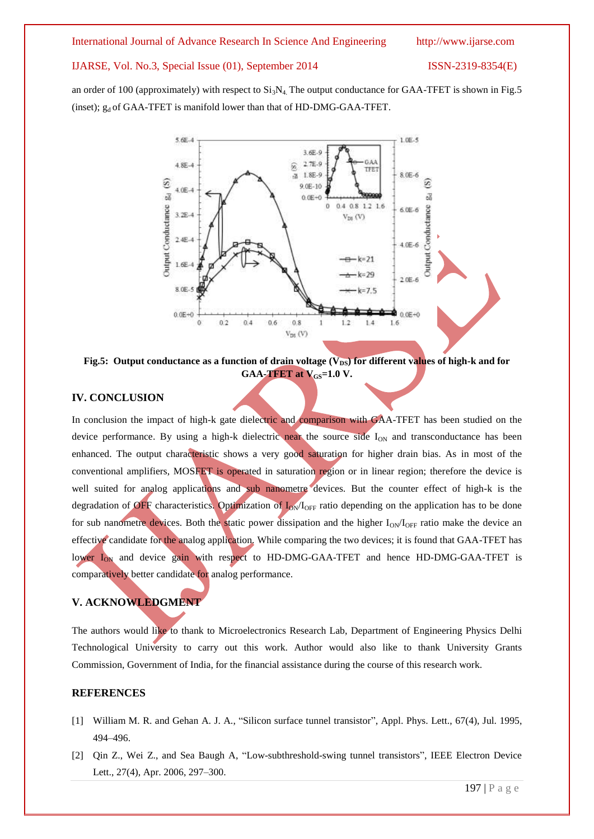an order of 100 (approximately) with respect to  $Si<sub>3</sub>N<sub>4</sub>$ . The output conductance for GAA-TFET is shown in Fig.5 (inset);  $g_d$  of GAA-TFET is manifold lower than that of HD-DMG-GAA-TFET.



Fig.5: Output conductance as a function of drain voltage (V<sub>DS</sub>) for different values of high-k and for **GAA-TFET** at  $V_{GS}$ =1.0 V.

# **IV. CONCLUSION**

In conclusion the impact of high-k gate dielectric and comparison with GAA-TFET has been studied on the device performance. By using a high-k dielectric near the source side  $I_{ON}$  and transconductance has been enhanced. The output characteristic shows a very good saturation for higher drain bias. As in most of the conventional amplifiers, MOSFET is operated in saturation region or in linear region; therefore the device is well suited for analog applications and sub nanometre devices. But the counter effect of high-k is the degradation of OFF characteristics. Optimization of  $I_{ON}/I_{OFF}$  ratio depending on the application has to be done for sub nanometre devices. Both the static power dissipation and the higher  $I_{ON}/I_{OFF}$  ratio make the device an effective candidate for the analog application. While comparing the two devices; it is found that GAA-TFET has lower I<sub>ON</sub> and device gain with respect to HD-DMG-GAA-TFET and hence HD-DMG-GAA-TFET is comparatively better candidate for analog performance.

# **V. ACKNOWLEDGMENT**

The authors would like to thank to Microelectronics Research Lab, Department of Engineering Physics Delhi Technological University to carry out this work. Author would also like to thank University Grants Commission, Government of India, for the financial assistance during the course of this research work.

#### **REFERENCES**

- [1] William M. R. and Gehan A. J. A., "Silicon surface tunnel transistor", Appl. Phys. Lett., 67(4), Jul. 1995, 494–496.
- [2] Qin Z., Wei Z., and Sea Baugh A, "Low-subthreshold-swing tunnel transistors", IEEE Electron Device Lett., 27(4), Apr. 2006, 297–300.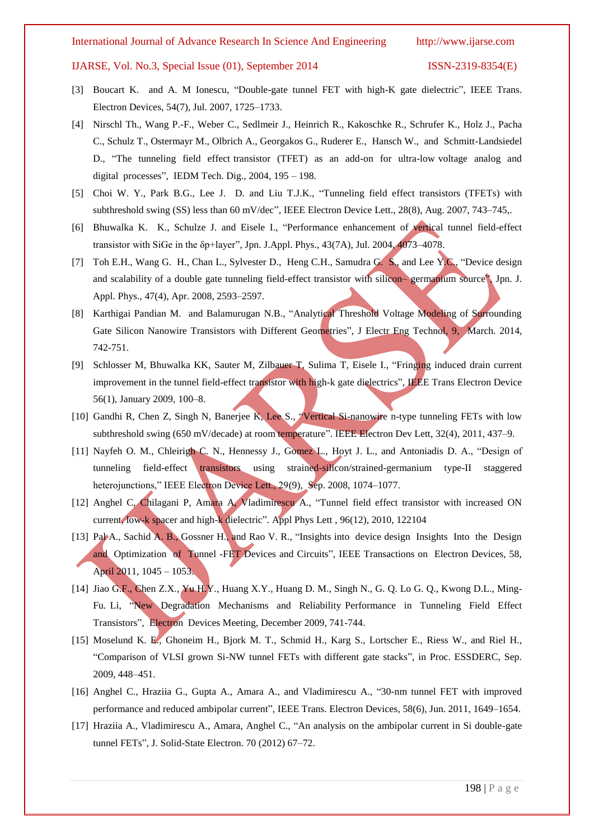- [3] Boucart K. and A. M Ionescu, "Double-gate tunnel FET with high-K gate dielectric", IEEE Trans. Electron Devices, 54(7), Jul. 2007, 1725–1733.
- [4] Nirschl Th., Wang P.-F., Weber C., Sedlmeir J., Heinrich R., Kakoschke R., Schrufer K., Holz J., Pacha C., Schulz T., Ostermayr M., Olbrich A., Georgakos G., Ruderer E., Hansch W., and Schmitt-Landsiedel D., "The tunneling field effect transistor (TFET) as an add-on for ultra-low voltage analog and digital processes", IEDM Tech. Dig., 2004, 195 – 198.
- [5] Choi W. Y., Park B.G., Lee J. D. and Liu T.J.K., "Tunneling field effect transistors (TFETs) with subthreshold swing (SS) less than 60 mV/dec", IEEE Electron Device Lett., 28(8), Aug. 2007, 743–745,.
- [6] Bhuwalka K. K., Schulze J. and Eisele I., "Performance enhancement of vertical tunnel field-effect transistor with SiGe in the δp+layer", Jpn. J.Appl. Phys., 43(7A), Jul. 2004, 4073–4078.
- [7] Toh E.H., Wang G. H., Chan L., Sylvester D., Heng C.H., Samudra G. S., and Lee Y.C., "Device design and scalability of a double gate tunneling field-effect transistor with silicon– germanium source", Jpn. J. Appl. Phys., 47(4), Apr. 2008, 2593–2597.
- [8] Karthigai Pandian M. and Balamurugan N.B., "Analytical Threshold Voltage Modeling of Surrounding Gate Silicon Nanowire Transistors with Different Geometries", J Electr Eng Technol, 9, March. 2014, 742-751.
- [9] Schlosser M, Bhuwalka KK, Sauter M, Zilbauer T, Sulima T, Eisele I., "Fringing induced drain current improvement in the tunnel field-effect transistor with high-k gate dielectrics", IEEE Trans Electron Device 56(1), January 2009, 100–8.
- [10] Gandhi R, Chen Z, Singh N, Banerjee K, Lee S., "Vertical Si-nanowire n-type tunneling FETs with low subthreshold swing (650 mV/decade) at room temperature". IEEE Electron Dev Lett, 32(4), 2011, 437–9.
- [11] Nayfeh O. M., Chleirigh C. N., Hennessy J., Gomez L., Hoyt J. L., and Antoniadis D. A., "Design of tunneling field-effect transistors using strained-silicon/strained-germanium type-II staggered heterojunctions," IEEE Electron Device Lett., 29(9), Sep. 2008, 1074–1077.
- [12] Anghel C, Chilagani P, Amara A, Vladimirescu A., "Tunnel field effect transistor with increased ON current, low-k spacer and high-k dielectric". Appl Phys Lett , 96(12), 2010, 122104
- [13] Pal A., Sachid A. B., Gossner H., and Rao V. R., "Insights into device design Insights Into the Design and Optimization of Tunnel -FET Devices and Circuits", IEEE Transactions on Electron Devices, 58, April 2011, 1045 – 1053.
- [14] Jiao G.F., Chen Z.X., Yu H.Y., Huang X.Y., Huang D. M., Singh N., G. Q. Lo G. Q., Kwong D.L., Ming-Fu. Li, "New Degradation Mechanisms and Reliability Performance in Tunneling Field Effect Transistors", Electron Devices Meeting, December 2009, 741-744.
- [15] Moselund K. E., Ghoneim H., Bjork M. T., Schmid H., Karg S., Lortscher E., Riess W., and Riel H., "Comparison of VLSI grown Si-NW tunnel FETs with different gate stacks", in Proc. ESSDERC, Sep. 2009, 448–451.
- [16] Anghel C., Hraziia G., Gupta A., Amara A., and Vladimirescu A., "30-nm tunnel FET with improved performance and reduced ambipolar current", IEEE Trans. Electron Devices, 58(6), Jun. 2011, 1649–1654.
- [17] Hraziia A., Vladimirescu A., Amara, Anghel C., "An analysis on the ambipolar current in Si double-gate tunnel FETs", J. Solid-State Electron. 70 (2012) 67–72.